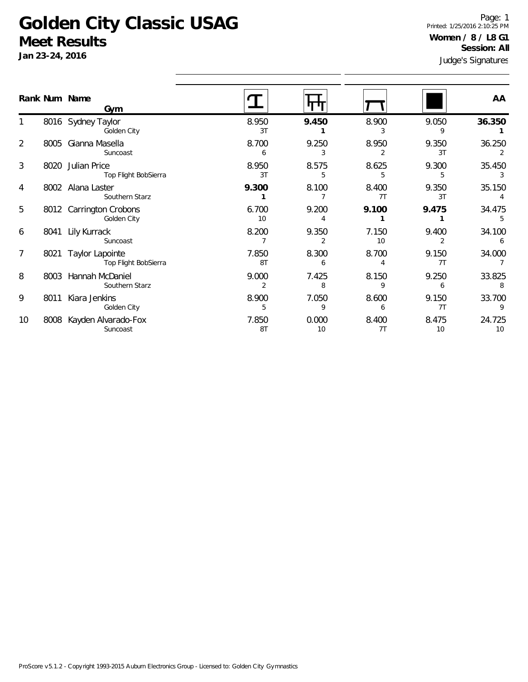## **Golden City Classic USAG Meet Results**

**Jan 23-24, 2016**

1

2

3

4

5

6

7

8

9

10

Judge's Signatures Page: 1 Printed: 1/25/2016 2:10:25 PM **Women / 8 / L8 G1 Session: All**

| $3011$ $20$ $27$ , $2010$ |  |                                              | Judge's Signatures       |             |             |             |              |  |
|---------------------------|--|----------------------------------------------|--------------------------|-------------|-------------|-------------|--------------|--|
|                           |  | Rank Num Name<br>Gym                         |                          |             |             |             | AA           |  |
|                           |  | 8016 Sydney Taylor<br>Golden City            | 8.950<br>3T              | 9.450       | 8.900<br>3  | 9.050<br>9  | 36.350       |  |
| 2                         |  | 8005 Gianna Masella<br>Suncoast              | 8.700<br>6               | 9.250<br>3  | 8.950<br>2  | 9.350<br>3T | 36.250       |  |
| 3                         |  | 8020 Julian Price<br>Top Flight BobSierra    | 8.950<br>3T              | 8.575<br>5  | 8.625<br>5  | 9.300<br>5  | 35.450       |  |
| 4                         |  | 8002 Alana Laster<br>Southern Starz          | 9.300                    | 8.100       | 8.400<br>7T | 9.350<br>3T | 35.150       |  |
| 5                         |  | 8012 Carrington Crobons<br>Golden City       | 6.700<br>10 <sup>°</sup> | 9.200       | 9.100       | 9.475       | 34.475<br>.5 |  |
| 6                         |  | 8041 Lily Kurrack<br>Suncoast                | 8.200                    | 9.350<br>2  | 7.150<br>10 | 9.400       | 34.100<br>6  |  |
| 7                         |  | 8021 Taylor Lapointe<br>Top Flight BobSierra | 7.850<br>8T              | 8.300<br>6  | 8.700<br>4  | 9.150<br>7T | 34.000       |  |
| 8                         |  | 8003 Hannah McDaniel<br>Southern Starz       | 9.000<br>2               | 7.425<br>8  | 8.150<br>9  | 9.250<br>6  | 33.825       |  |
| 9                         |  | 8011 Kiara Jenkins<br>Golden City            | 8.900<br>5               | 7.050       | 8.600<br>6  | 9.150<br>7T | 33.700<br>9  |  |
| 10                        |  | 8008 Kayden Alvarado-Fox<br>Suncoast         | 7.850<br>8T              | 0.000<br>10 | 8.400<br>7T | 8.475<br>10 | 24.725<br>10 |  |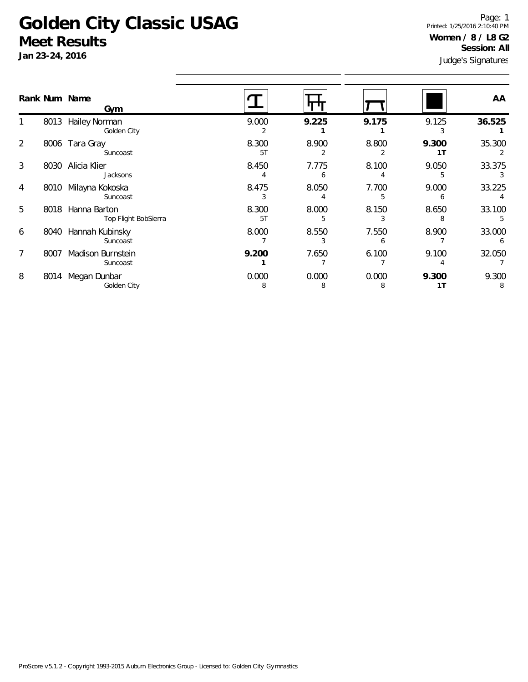## **Golden City Classic USAG Meet Results**

**Jan 23-24, 2016**

Judge's Signatures Page: 1 Printed: 1/25/2016 2:10:40 PM **Women / 8 / L8 G2 Session: All**

| Rank Num Name |      | Gym                                  |             |            |            |             | AA          |
|---------------|------|--------------------------------------|-------------|------------|------------|-------------|-------------|
|               | 8013 | Hailey Norman<br>Golden City         | 9.000       | 9.225      | 9.175      | 9.125       | 36.525      |
| 2             | 8006 | Tara Gray<br>Suncoast                | 8.300<br>5T | 8.900      | 8.800      | 9.300<br>1T | 35.300<br>2 |
| 3             | 8030 | Alicia Klier<br>Jacksons             | 8.450       | 7.775<br>6 | 8.100      | 9.050<br>5  | 33.375      |
| 4             | 8010 | Milayna Kokoska<br>Suncoast          | 8.475       | 8.050      | 7.700      | 9.000<br>h  | 33.225      |
| 5             | 8018 | Hanna Barton<br>Top Flight BobSierra | 8.300<br>5T | 8.000      | 8.150      | 8.650<br>8  | 33.100<br>5 |
| 6             | 8040 | Hannah Kubinsky<br>Suncoast          | 8.000       | 8.550      | 7.550<br>6 | 8.900       | 33.000      |
|               | 8007 | Madison Burnstein<br>Suncoast        | 9.200       | 7.650      | 6.100      | 9.100       | 32.050      |
| 8             | 8014 | Megan Dunbar<br>Golden City          | 0.000<br>8  | 0.000<br>8 | 0.000<br>8 | 9.300<br>1T | 9.300       |